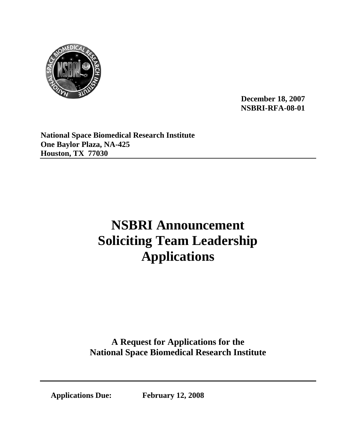

**December 18, 2007 NSBRI-RFA-08-01** 

**National Space Biomedical Research Institute One Baylor Plaza, NA-425 Houston, TX 77030** 

# **NSBRI Announcement Soliciting Team Leadership Applications**

**A Request for Applications for the National Space Biomedical Research Institute**

**Applications Due: February 12, 2008**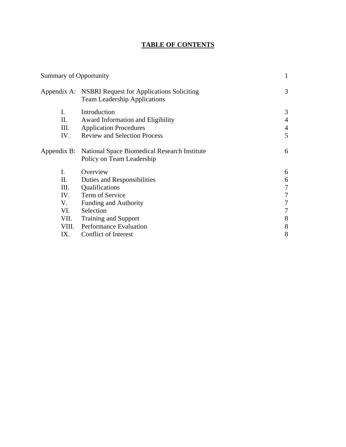# **TABLE OF CONTENTS**

| <b>Summary of Opportunity</b> |                                                                                              | $\mathbf{1}$   |
|-------------------------------|----------------------------------------------------------------------------------------------|----------------|
|                               | Appendix A: NSBRI Request for Applications Soliciting<br><b>Team Leadership Applications</b> | 3              |
| I.                            | Introduction                                                                                 | 3              |
| II.                           | Award Information and Eligibility                                                            | $\overline{4}$ |
| III.                          | <b>Application Procedures</b>                                                                | $\overline{4}$ |
| IV.                           | <b>Review and Selection Process</b>                                                          | 5              |
|                               | Appendix B: National Space Biomedical Research Institute<br>Policy on Team Leadership        | 6              |
| I.                            | Overview                                                                                     | 6              |
| П.                            | Duties and Responsibilities                                                                  | 6              |
| III.                          | Qualifications                                                                               | 7              |
| IV.                           | Term of Service                                                                              | 7              |
| V.                            | <b>Funding and Authority</b>                                                                 | 7              |
| VI.                           | Selection                                                                                    |                |
| VII.                          | <b>Training and Support</b>                                                                  | 8              |
| VIII.                         | <b>Performance Evaluation</b>                                                                | 8              |
| IX.                           | Conflict of Interest                                                                         | 8              |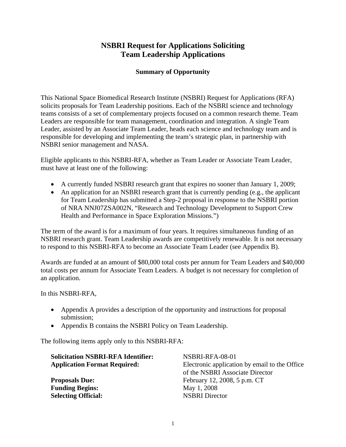# **NSBRI Request for Applications Soliciting Team Leadership Applications**

# **Summary of Opportunity**

This National Space Biomedical Research Institute (NSBRI) Request for Applications (RFA) solicits proposals for Team Leadership positions. Each of the NSBRI science and technology teams consists of a set of complementary projects focused on a common research theme. Team Leaders are responsible for team management, coordination and integration. A single Team Leader, assisted by an Associate Team Leader, heads each science and technology team and is responsible for developing and implementing the team's strategic plan, in partnership with NSBRI senior management and NASA.

Eligible applicants to this NSBRI-RFA, whether as Team Leader or Associate Team Leader, must have at least one of the following:

- A currently funded NSBRI research grant that expires no sooner than January 1, 2009;
- An application for an NSBRI research grant that is currently pending (e.g., the applicant for Team Leadership has submitted a Step-2 proposal in response to the NSBRI portion of NRA NNJ07ZSA002N, "Research and Technology Development to Support Crew Health and Performance in Space Exploration Missions.")

The term of the award is for a maximum of four years. It requires simultaneous funding of an NSBRI research grant. Team Leadership awards are competitively renewable. It is not necessary to respond to this NSBRI-RFA to become an Associate Team Leader (see Appendix B).

Awards are funded at an amount of \$80,000 total costs per annum for Team Leaders and \$40,000 total costs per annum for Associate Team Leaders. A budget is not necessary for completion of an application.

In this NSBRI-RFA,

- Appendix A provides a description of the opportunity and instructions for proposal submission;
- Appendix B contains the NSBRI Policy on Team Leadership.

The following items apply only to this NSBRI-RFA:

| <b>Solicitation NSBRI-RFA Identifier:</b> | NSBRI-RFA-08-01                               |  |
|-------------------------------------------|-----------------------------------------------|--|
| <b>Application Format Required:</b>       | Electronic application by email to the Office |  |
|                                           | of the NSBRI Associate Director               |  |
| <b>Proposals Due:</b>                     | February 12, 2008, 5 p.m. CT                  |  |
| <b>Funding Begins:</b>                    | May 1, 2008                                   |  |
| <b>Selecting Official:</b>                | <b>NSBRI</b> Director                         |  |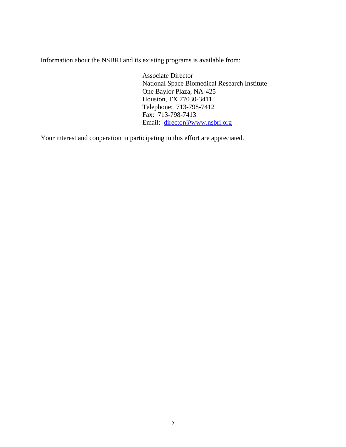Information about the NSBRI and its existing programs is available from:

Associate Director National Space Biomedical Research Institute One Baylor Plaza, NA-425 Houston, TX 77030-3411 Telephone: 713-798-7412 Fax: 713-798-7413 Email: [director@www.nsbri.org](mailto:director@www.nsbri.org)

Your interest and cooperation in participating in this effort are appreciated.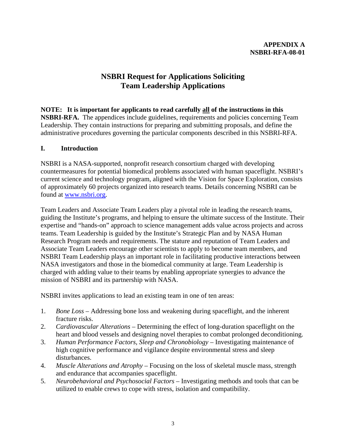# **NSBRI Request for Applications Soliciting Team Leadership Applications**

# **NOTE: It is important for applicants to read carefully all of the instructions in this**

**NSBRI-RFA.** The appendices include guidelines, requirements and policies concerning Team Leadership. They contain instructions for preparing and submitting proposals, and define the administrative procedures governing the particular components described in this NSBRI-RFA.

# **I. Introduction**

NSBRI is a NASA-supported, nonprofit research consortium charged with developing countermeasures for potential biomedical problems associated with human spaceflight. NSBRI's current science and technology program, aligned with the Vision for Space Exploration, consists of approximately 60 projects organized into research teams. Details concerning NSBRI can be found at [www.nsbri.org.](http://www.nsbri.org/)

Team Leaders and Associate Team Leaders play a pivotal role in leading the research teams, guiding the Institute's programs, and helping to ensure the ultimate success of the Institute. Their expertise and "hands-on" approach to science management adds value across projects and across teams. Team Leadership is guided by the Institute's Strategic Plan and by NASA Human Research Program needs and requirements. The stature and reputation of Team Leaders and Associate Team Leaders encourage other scientists to apply to become team members, and NSBRI Team Leadership plays an important role in facilitating productive interactions between NASA investigators and those in the biomedical community at large. Team Leadership is charged with adding value to their teams by enabling appropriate synergies to advance the mission of NSBRI and its partnership with NASA.

NSBRI invites applications to lead an existing team in one of ten areas:

- 1. *Bone Loss* Addressing bone loss and weakening during spaceflight, and the inherent fracture risks.
- 2. *Cardiovascular Alterations* Determining the effect of long-duration spaceflight on the heart and blood vessels and designing novel therapies to combat prolonged deconditioning.
- 3. *Human Performance Factors, Sleep and Chronobiology* Investigating maintenance of high cognitive performance and vigilance despite environmental stress and sleep disturbances.
- 4. *Muscle Alterations and Atrophy* Focusing on the loss of skeletal muscle mass, strength and endurance that accompanies spaceflight.
- 5. *Neurobehavioral and Psychosocial Factors* Investigating methods and tools that can be utilized to enable crews to cope with stress, isolation and compatibility.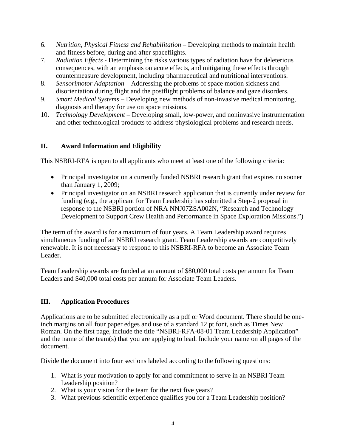- 6. *Nutrition, Physical Fitness and Rehabilitation*  Developing methods to maintain health and fitness before, during and after spaceflights.
- 7. *Radiation Effects* Determining the risks various types of radiation have for deleterious consequences, with an emphasis on acute effects, and mitigating these effects through countermeasure development, including pharmaceutical and nutritional interventions.
- 8. *Sensorimotor Adaptation* Addressing the problems of space motion sickness and disorientation during flight and the postflight problems of balance and gaze disorders.
- 9. *Smart Medical Systems*  Developing new methods of non-invasive medical monitoring, diagnosis and therapy for use on space missions.
- 10. *Technology Development* Developing small, low-power, and noninvasive instrumentation and other technological products to address physiological problems and research needs.

# **II. Award Information and Eligibility**

This NSBRI-RFA is open to all applicants who meet at least one of the following criteria:

- Principal investigator on a currently funded NSBRI research grant that expires no sooner than January 1, 2009;
- Principal investigator on an NSBRI research application that is currently under review for funding (e.g., the applicant for Team Leadership has submitted a Step-2 proposal in response to the NSBRI portion of NRA NNJ07ZSA002N, "Research and Technology Development to Support Crew Health and Performance in Space Exploration Missions.")

The term of the award is for a maximum of four years. A Team Leadership award requires simultaneous funding of an NSBRI research grant. Team Leadership awards are competitively renewable. It is not necessary to respond to this NSBRI-RFA to become an Associate Team Leader.

Team Leadership awards are funded at an amount of \$80,000 total costs per annum for Team Leaders and \$40,000 total costs per annum for Associate Team Leaders.

# **III. Application Procedures**

Applications are to be submitted electronically as a pdf or Word document. There should be oneinch margins on all four paper edges and use of a standard 12 pt font, such as Times New Roman. On the first page, include the title "NSBRI-RFA-08-01 Team Leadership Application" and the name of the team(s) that you are applying to lead. Include your name on all pages of the document.

Divide the document into four sections labeled according to the following questions:

- 1. What is your motivation to apply for and commitment to serve in an NSBRI Team Leadership position?
- 2. What is your vision for the team for the next five years?
- 3. What previous scientific experience qualifies you for a Team Leadership position?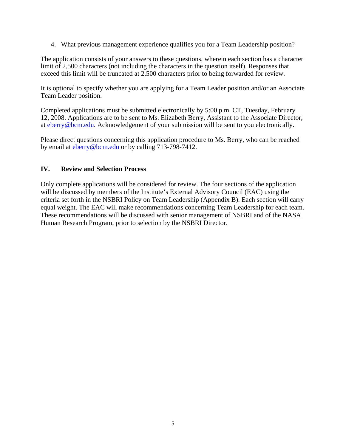4. What previous management experience qualifies you for a Team Leadership position?

The application consists of your answers to these questions, wherein each section has a character limit of 2,500 characters (not including the characters in the question itself). Responses that exceed this limit will be truncated at 2,500 characters prior to being forwarded for review.

It is optional to specify whether you are applying for a Team Leader position and/or an Associate Team Leader position.

Completed applications must be submitted electronically by 5:00 p.m. CT, Tuesday, February 12, 2008. Applications are to be sent to Ms. Elizabeth Berry, Assistant to the Associate Director, at [eberry@bcm.edu](mailto:tkelley@bcm.edu). Acknowledgement of your submission will be sent to you electronically.

Please direct questions concerning this application procedure to Ms. Berry, who can be reached by email at [eberry@bcm.edu](mailto:eberry@bcm.edu) or by calling 713-798-7412.

#### **IV. Review and Selection Process**

Only complete applications will be considered for review. The four sections of the application will be discussed by members of the Institute's External Advisory Council (EAC) using the criteria set forth in the NSBRI Policy on Team Leadership (Appendix B). Each section will carry equal weight. The EAC will make recommendations concerning Team Leadership for each team. These recommendations will be discussed with senior management of NSBRI and of the NASA Human Research Program, prior to selection by the NSBRI Director.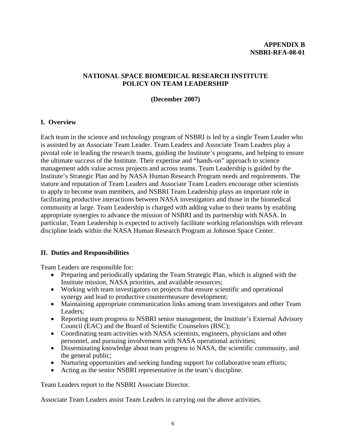#### **APPENDIX B NSBRI-RFA-08-01**

# **NATIONAL SPACE BIOMEDICAL RESEARCH INSTITUTE POLICY ON TEAM LEADERSHIP**

#### **(December 2007)**

#### **I. Overview**

Each team in the science and technology program of NSBRI is led by a single Team Leader who is assisted by an Associate Team Leader. Team Leaders and Associate Team Leaders play a pivotal role in leading the research teams, guiding the Institute's programs, and helping to ensure the ultimate success of the Institute. Their expertise and "hands-on" approach to science management adds value across projects and across teams. Team Leadership is guided by the Institute's Strategic Plan and by NASA Human Research Program needs and requirements. The stature and reputation of Team Leaders and Associate Team Leaders encourage other scientists to apply to become team members, and NSBRI Team Leadership plays an important role in facilitating productive interactions between NASA investigators and those in the biomedical community at large. Team Leadership is charged with adding value to their teams by enabling appropriate synergies to advance the mission of NSBRI and its partnership with NASA. In particular, Team Leadership is expected to actively facilitate working relationships with relevant discipline leads within the NASA Human Research Program at Johnson Space Center.

# **II. Duties and Responsibilities**

Team Leaders are responsible for:

- Preparing and periodically updating the Team Strategic Plan, which is aligned with the Institute mission, NASA priorities, and available resources;
- Working with team investigators on projects that ensure scientific and operational synergy and lead to productive countermeasure development;
- Maintaining appropriate communication links among team investigators and other Team Leaders;
- Reporting team progress to NSBRI senior management, the Institute's External Advisory Council (EAC) and the Board of Scientific Counselors (BSC);
- Coordinating team activities with NASA scientists, engineers, physicians and other personnel, and pursuing involvement with NASA operational activities;
- Disseminating knowledge about team progress to NASA, the scientific community, and the general public;
- Nurturing opportunities and seeking funding support for collaborative team efforts;
- Acting as the senior NSBRI representative in the team's discipline.

Team Leaders report to the NSBRI Associate Director.

Associate Team Leaders assist Team Leaders in carrying out the above activities.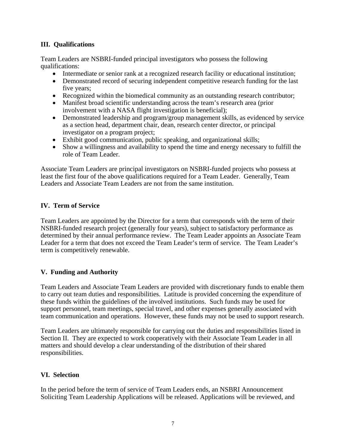## **III. Qualifications**

Team Leaders are NSBRI-funded principal investigators who possess the following qualifications:

- Intermediate or senior rank at a recognized research facility or educational institution;
- Demonstrated record of securing independent competitive research funding for the last five years;
- Recognized within the biomedical community as an outstanding research contributor;
- Manifest broad scientific understanding across the team's research area (prior involvement with a NASA flight investigation is beneficial);
- Demonstrated leadership and program/group management skills, as evidenced by service as a section head, department chair, dean, research center director, or principal investigator on a program project;
- Exhibit good communication, public speaking, and organizational skills;
- Show a willingness and availability to spend the time and energy necessary to fulfill the role of Team Leader.

Associate Team Leaders are principal investigators on NSBRI-funded projects who possess at least the first four of the above qualifications required for a Team Leader. Generally, Team Leaders and Associate Team Leaders are not from the same institution.

# **IV. Term of Service**

Team Leaders are appointed by the Director for a term that corresponds with the term of their NSBRI-funded research project (generally four years), subject to satisfactory performance as determined by their annual performance review. The Team Leader appoints an Associate Team Leader for a term that does not exceed the Team Leader's term of service. The Team Leader's term is competitively renewable.

# **V. Funding and Authority**

Team Leaders and Associate Team Leaders are provided with discretionary funds to enable them to carry out team duties and responsibilities. Latitude is provided concerning the expenditure of these funds within the guidelines of the involved institutions. Such funds may be used for support personnel, team meetings, special travel, and other expenses generally associated with team communication and operations. However, these funds may not be used to support research.

Team Leaders are ultimately responsible for carrying out the duties and responsibilities listed in Section II. They are expected to work cooperatively with their Associate Team Leader in all matters and should develop a clear understanding of the distribution of their shared responsibilities.

# **VI. Selection**

In the period before the term of service of Team Leaders ends, an NSBRI Announcement Soliciting Team Leadership Applications will be released. Applications will be reviewed, and